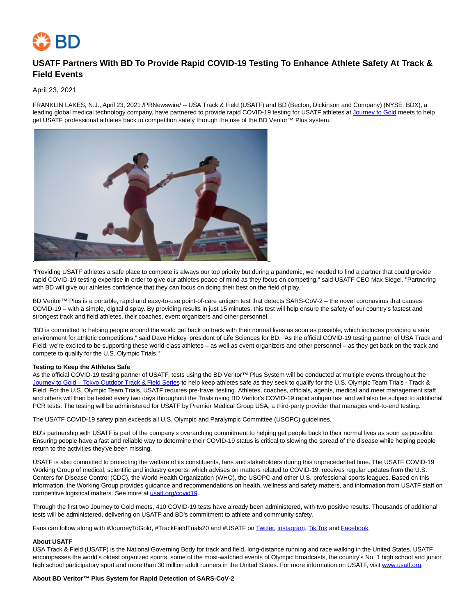

# **USATF Partners With BD To Provide Rapid COVID-19 Testing To Enhance Athlete Safety At Track & Field Events**

## April 23, 2021

FRANKLIN LAKES, N.J., April 23, 2021 /PRNewswire/ -- USA Track & Field (USATF) and BD (Becton, Dickinson and Company) (NYSE: BDX), a leading global medical technology company, have partnered to provide rapid COVID-19 testing for USATF athletes at [Journey to Gold m](https://c212.net/c/link/?t=0&l=en&o=3139486-1&h=1913526710&u=https%3A%2F%2Fwww.usatf.org%2Fnews%2F2021%2Fusatf-journey-to-gold-tokyo-outdoor-series-schedul&a=Journey+to+Gold)eets to help get USATF professional athletes back to competition safely through the use of the BD Veritor™ Plus system.



"Providing USATF athletes a safe place to compete is always our top priority but during a pandemic, we needed to find a partner that could provide rapid COVID-19 testing expertise in order to give our athletes peace of mind as they focus on competing," said USATF CEO Max Siegel. "Partnering with BD will give our athletes confidence that they can focus on doing their best on the field of play."

BD Veritor™ Plus is a portable, rapid and easy-to-use point-of-care antigen test that detects SARS-CoV-2 – the novel coronavirus that causes COVID-19 – with a simple, digital display. By providing results in just 15 minutes, this test will help ensure the safety of our country's fastest and strongest track and field athletes, their coaches, event organizers and other personnel.

"BD is committed to helping people around the world get back on track with their normal lives as soon as possible, which includes providing a safe environment for athletic competitions," said Dave Hickey, president of Life Sciences for BD. "As the official COVID-19 testing partner of USA Track and Field, we're excited to be supporting these world-class athletes – as well as event organizers and other personnel – as they get back on the track and compete to qualify for the U.S. Olympic Trials."

## **Testing to Keep the Athletes Safe**

As the official COVID-19 testing partner of USATF, tests using the BD Veritor™ Plus System will be conducted at multiple events throughout the [Journey to Gold – Tokyo Outdoor Track & Field Series t](https://c212.net/c/link/?t=0&l=en&o=3139486-1&h=351327631&u=https%3A%2F%2Fwww.usatf.org%2Fnews%2F2021%2Fusatf-journey-to-gold-tokyo-outdoor-series-schedul&a=Journey+to+Gold+%E2%80%93+Tokyo+Outdoor+Track+%26+Field+Series)o help keep athletes safe as they seek to qualify for the U.S. Olympic Team Trials - Track & Field. For the U.S. Olympic Team Trials, USATF requires pre-travel testing. Athletes, coaches, officials, agents, medical and meet management staff and others will then be tested every two days throughout the Trials using BD Veritor's COVID-19 rapid antigen test and will also be subject to additional PCR tests. The testing will be administered for USATF by Premier Medical Group USA, a third-party provider that manages end-to-end testing.

The USATF COVID-19 safety plan exceeds all U.S. Olympic and Paralympic Committee (USOPC) guidelines.

BD's partnership with USATF is part of the company's overarching commitment to helping get people back to their normal lives as soon as possible. Ensuring people have a fast and reliable way to determine their COVID-19 status is critical to slowing the spread of the disease while helping people return to the activities they've been missing.

USATF is also committed to protecting the welfare of its constituents, fans and stakeholders during this unprecedented time. The USATF COVID-19 Working Group of medical, scientific and industry experts, which advises on matters related to COVID-19, receives regular updates from the U.S. Centers for Disease Control (CDC), the World Health Organization (WHO), the USOPC and other U.S. professional sports leagues. Based on this information, the Working Group provides guidance and recommendations on health, wellness and safety matters, and information from USATF staff on competitive logistical matters. See more a[t usatf.org/covid19.](https://c212.net/c/link/?t=0&l=en&o=3139486-1&h=230237929&u=http%3A%2F%2Fusatf.org%2Fcovid19&a=usatf.org%2Fcovid19)

Through the first two Journey to Gold meets, 410 COVID-19 tests have already been administered, with two positive results. Thousands of additional tests will be administered, delivering on USATF and BD's commitment to athlete and community safety.

Fans can follow along with #JourneyToGold, #TrackFieldTrials20 and #USATF o[n Twitter,](https://c212.net/c/link/?t=0&l=en&o=3139486-1&h=4185392956&u=https%3A%2F%2Ftwitter.com%2Fusatf&a=Twitter) [Instagram,](https://c212.net/c/link/?t=0&l=en&o=3139486-1&h=1171258374&u=http%3A%2F%2Fwww.instagram.com%2Fusatf%2F&a=Instagram) [Tik Tok a](https://c212.net/c/link/?t=0&l=en&o=3139486-1&h=3477568807&u=https%3A%2F%2Fwww.tiktok.com%2F%40usatf%3F&a=Tik+Tok)nd [Facebook.](https://c212.net/c/link/?t=0&l=en&o=3139486-1&h=616139424&u=https%3A%2F%2Fwww.facebook.com%2FUSATFfans%2F&a=Facebook)

#### **About USATF**

USA Track & Field (USATF) is the National Governing Body for track and field, long-distance running and race walking in the United States. USATF encompasses the world's oldest organized sports, some of the most-watched events of Olympic broadcasts, the country's No. 1 high school and junior high school participatory sport and more than 30 million adult runners in the United States. For more information on USATF, visit [www.usatf.org.](https://c212.net/c/link/?t=0&l=en&o=3139486-1&h=403155637&u=http%3A%2F%2Fwww.usatf.org%2F&a=www.usatf.org)

#### **About BD Veritor™ Plus System for Rapid Detection of SARS-CoV-2**